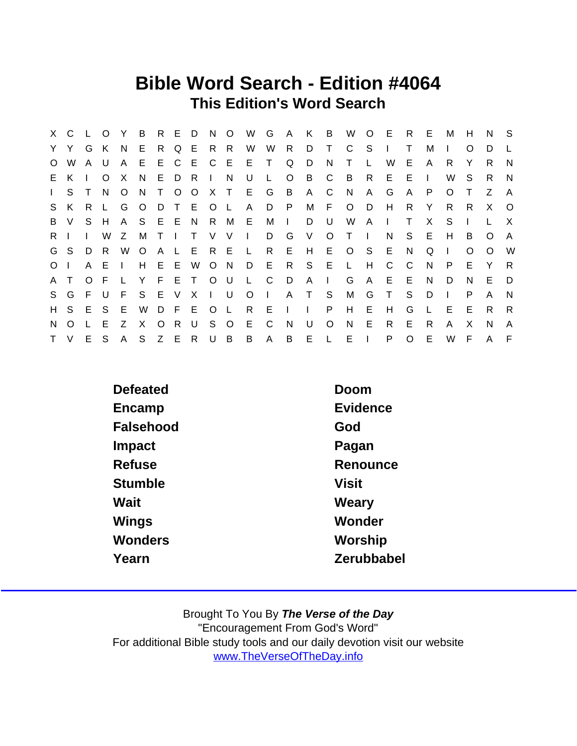## Bible Word Search - Edition #4064 This Edition's Word Search

|                | X C L O  |        |         | Y            | $\overline{B}$ |         |        | R E D N     |        | $\overline{O}$ | W            | G            | A              | K B          |         |                |                | W O E R E |              |     | M            | H        | N.           | $^{\circ}$ S |
|----------------|----------|--------|---------|--------------|----------------|---------|--------|-------------|--------|----------------|--------------|--------------|----------------|--------------|---------|----------------|----------------|-----------|--------------|-----|--------------|----------|--------------|--------------|
|                | Y Y G K  |        |         | N.           | - E            |         |        | R Q E R R   |        |                | W            | W R          |                | D T          |         | $\mathsf{C}$   | S.             |           | Τ            | м   | $\mathbf{L}$ | O        | D            |              |
| $\circ$        | W        | A U    |         | $\mathsf{A}$ | E              |         |        | E C E C E   |        |                | $E$ T        |              | Q              | D            | N       | T.             | $\mathsf{L}$   | W         | E.           | A   | R            | Y        | R.           | N.           |
|                | E K      |        | $\circ$ | $\mathsf{X}$ | N              |         | E D R  |             | $\Box$ | N              | U            | $\mathsf{L}$ | $\circ$        | B            | C.      | $\overline{B}$ | R              | E         | E.           |     | W            | S        | R.           | N            |
| $\mathbf{L}$   | S.       | $\top$ | N.      | $\circ$      | N              |         |        | T O O X T   |        |                | E G B        |              |                | $\mathsf{A}$ | C       | N,             | $\mathsf{A}$   | G         | $\mathsf{A}$ | P   | $\circ$      | Τ        | Z            | $\mathsf{A}$ |
|                | S K      | R L    |         | G            | $\circ$        | D.      |        | T E O L     |        |                | $\mathsf{A}$ |              | D P            |              | M F     | $\circ$        | D.             | H         | R            | Y   | R.           | R.       | X            | $\circ$      |
|                | B V      |        | S H     | $\mathsf{A}$ | S.             | E E N   |        |             |        | R M            | E.           | M            | $\Box$         | D            | U       | W              | $\mathsf{A}$   | $\Box$    | $\top$       | X   | S            |          |              | $\times$     |
| $R \mid$       |          |        | W       | Z            | M              | $\top$  | $\Box$ | $\top$      | V V    |                | $\sim 1$ .   | D            | G              | V            | $\circ$ | $\top$         | $\blacksquare$ | N         | S.           | - E | H            | B        | O            | A            |
|                | G S      | D      | R       | W            | $\circ$        |         |        | A L E R E   |        |                | $\mathsf{L}$ | R            | E              |              |         | H E O S E      |                |           | N            | Q   | $\Box$       | $\Omega$ | $\Omega$     | W            |
| O <sub>1</sub> |          | A E    |         | $\Box$       | H              |         |        | E E W       |        | $O$ N          | D E R        |              |                |              | S E L   |                | H              | C.        | $\mathbf{C}$ | N.  | P.           | Е        | Y            | R            |
| A T            |          | O F    |         | - L -        | Y              |         |        | F E T O U   |        |                | L C          |              | D.             | $A \mid$     |         | G              | $\mathsf{A}$   | E         | - E          | N.  | D            | N        | E.           | - D          |
|                | S G F U  |        |         | - F          |                |         |        | S E V X I U |        |                | $\circ$      | $\sim 1$ .   |                | A T S        |         | M              | G              | T         | -S           | D   | $\mathbf{I}$ | P        | A            | N            |
|                | H S E S  |        |         | $-E$         | W              |         |        | D F E O L   |        |                | R E          |              | $\sim 1$       | $\mathbf{L}$ | P       | H              | E              | H         | G            | L.  | E            | Е        | R.           | R            |
| N.             | $\Omega$ |        | - E     | Z            | $\mathsf{X}$   | $\circ$ | R      | U           |        | S O            | E.           | C.           | <b>N</b>       | U            | $\circ$ | <b>N</b>       | E              | R.        | E.           | R.  | A            | X        | N            | $\mathsf{A}$ |
|                | T V      | E S    |         | A            | S              | Z E     |        |             | R U B  |                | B            | $\mathsf{A}$ | $\overline{B}$ | E L          |         | E              | $\sim 1$ .     | P         | $\circ$      | E   | W            | F        | $\mathsf{A}$ | - F          |

| <b>Defeated</b> | Doom         |
|-----------------|--------------|
| Encamp          | Evidence     |
| Falsehood       | God          |
| Impact          | Pagan        |
| Refuse          | Renounce     |
| <b>Stumble</b>  | <b>Visit</b> |
| Wait            | Weary        |
| Wings           | Wonder       |
| Wonders         | Worship      |
| Yearn           | Zerubbabel   |
|                 |              |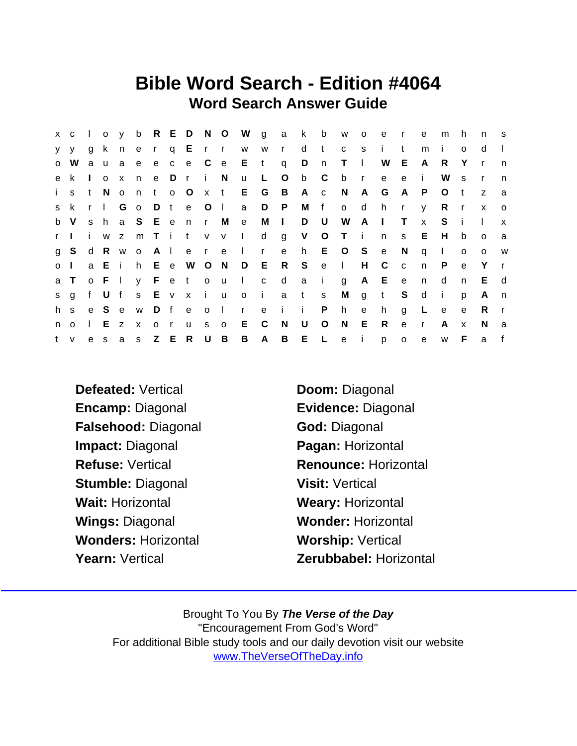## Bible Word Search - Edition #4064 Word Search Answer Guide

|           | $X$ $C$  |              |       |         |                           |              |              |                   |              |                | loy b R E D N O W g a k |              |              |              | $\mathbf{b}$ | W O          |              | e            | $\mathsf{r}$ | e            | m            | h.           | n            | $^{\circ}$ S |
|-----------|----------|--------------|-------|---------|---------------------------|--------------|--------------|-------------------|--------------|----------------|-------------------------|--------------|--------------|--------------|--------------|--------------|--------------|--------------|--------------|--------------|--------------|--------------|--------------|--------------|
|           | $V$ $V$  | g            | k n   |         | $-e$                      | $\mathbf{r}$ |              | q E r r           |              |                | W                       | W            | $\mathsf{r}$ | $\mathsf{d}$ | t            | $\mathbf{C}$ | s.           | j.           | t            | m            | i.           | $\Omega$     | d            |              |
|           | o W      |              |       | a u a e |                           |              |              | e c e C e         |              |                | $E$ t                   |              | q            | D            | n            | $T \cup$     |              | W            | E.           | A            | R.           | Y            | $\mathsf{r}$ | n            |
|           | e k      | $\mathbf{I}$ | 0 X   |         | n                         |              | e Dr         |                   | $-1$         | N,             | $\mathsf{u}$            | L.           | $\circ$      | b            | C            | b            | $\mathsf{r}$ | e            | $\mathbf{e}$ | j.           | W            | S            |              | n            |
| i.        | s        | t.           | N o   |         | n                         |              | t o O        |                   | $\mathbf{x}$ | $-t$           | E.                      | G            | B            | A c          |              | N.           | A            | G            | A            | P.           | O            | $\mathbf{t}$ | Z            | a            |
|           | s k      |              | r I   | G o     |                           |              |              | D t e O           |              | $\Box$         | a                       | D            | P            | M            | f            | $\circ$      | d            | h.           | $\mathsf{r}$ | $\mathsf{V}$ | R.           | $\mathsf{r}$ | $\mathsf{x}$ | $\circ$      |
|           | b V      |              |       |         |                           |              |              | s h a S E e n r   |              | M              | $\mathbf{e}$            | M            | $\sim 1$ .   | D            | U            | W            | A            | $\mathbf{I}$ | $\mathsf{T}$ | $\mathsf{x}$ | S.           | - i          |              | $\mathbf{x}$ |
| r I       |          | i.           |       | W Z     |                           |              |              | m T i t v v       |              |                | $\sim 1$ .              | d            | g            | V            | $\circ$      | T i          |              | n            | S.           | E.           | H            | b            | $\circ$      | a            |
|           | g S      | d            |       | R w o   |                           | A I          |              |                   | e r e        |                | $\sim 1$ .              | $\mathsf{r}$ | e            | h.           |              | E O S        |              | e            | N,           | $\mathsf{q}$ | $\mathbf{I}$ | $\circ$      | $\circ$      | W            |
| $\circ$ 1 |          |              |       |         |                           |              |              | a E i h E e W O N |              |                | D                       | E R          |              | S S          | e            | $\sim 1$ .   | H            | C            | $\mathbf{C}$ | n            | P.           | $\mathbf{e}$ | Y            | $\mathbf{r}$ |
|           | a T      |              | o F I |         |                           |              |              | y Fetou           |              |                | $\sim 1$                | $\mathbf{C}$ | $\mathsf{d}$ | a            | $\mathbf{i}$ | g            | A            | E e          |              | n.           | d            | n.           | E            | d            |
|           | s g      | f            | U f   |         |                           | s E v x      |              |                   | i u          |                | $\circ$                 | - i i        |              | a t          | <sub>S</sub> | M            | g            | $-t$         | S.           | $\mathsf{d}$ | $\mathbf{i}$ | p            | A            | n,           |
| h s       |          |              | e S e |         | W                         |              |              | Dfe               | $\circ$      | $\sim 1$ .     | $\mathsf{r}$            |              | e i i        |              | P            | h            | e            | h.           | g            | L            | e            | e            | R.           |              |
| n         | $\Omega$ |              |       | E z     | $\boldsymbol{\mathsf{x}}$ | $\mathsf{O}$ | $\mathsf{r}$ | u.                | S.           | $\mathbf{o}$   | E.                      | - C          | N            | U            | $\circ$      | N            | E            | R            | $\mathbf{e}$ | $\mathsf{r}$ | A            | $\mathsf{x}$ | N.           | a            |
|           | t v      |              | e s   | a       |                           | s Z E        |              | $\mathsf{R}$      | U            | $\overline{B}$ | B                       | $\mathsf{A}$ | B            | EL           |              | e i          |              | p            | $\mathsf{o}$ | e            | W            | F            | a            |              |

- Defeated: Vertical Doom: Diagonal Encamp: Diagonal Evidence: Diagonal Falsehood: Diagonal God: Diagonal Impact: Diagonal Pagan: Horizontal Stumble: Diagonal Visit: Vertical Wait: Horizontal Weary: Horizontal Wings: Diagonal Wonder: Horizontal Wonders: Horizontal Worship: Vertical
- Refuse: Vertical **Renounce: Horizontal** Yearn: Vertical Zerubbabel: Horizontal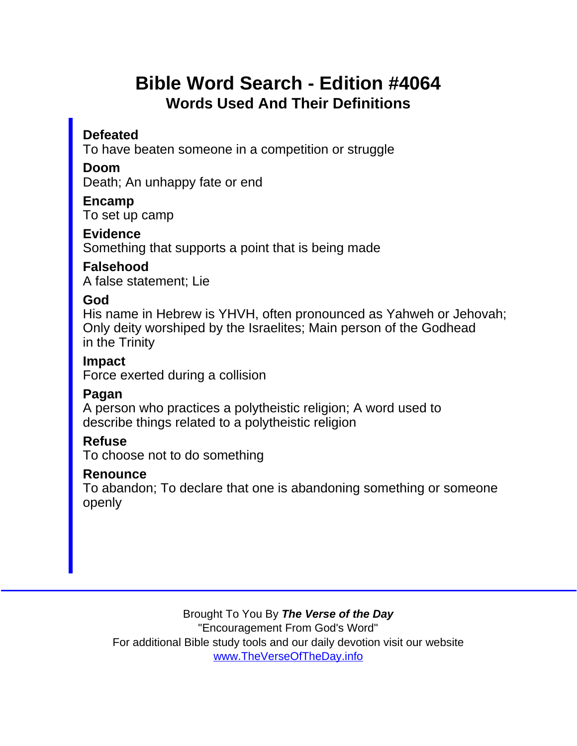## Bible Word Search - Edition #4064 Words Used And Their Definitions

Defeated

To have beaten someone in a competition or struggle

Doom

Death; An unhappy fate or end

Encamp To set up camp

**Evidence** Something that supports a point that is being made

Falsehood A false statement; Lie

God

His name in Hebrew is YHVH, often pronounced as Yahweh or Jehovah; Only deity worshiped by the Israelites; Main person of the Godhead in the Trinity

Impact Force exerted during a collision

Pagan

A person who practices a polytheistic religion; A word used to describe things related to a polytheistic religion

Refuse

To choose not to do something

Renounce

To abandon; To declare that one is abandoning something or someone openly